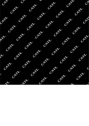

## **Report on supply chain due diligence**

This is the first public release of CATL's report on the sustainable development of cobalt supply chain. CATL has recognized that releasing the report is the basic responsibility of all stakeholders on the upstream and downstream of the cobalt supply chain. We welcome your feedback, and encourage all the partners to work together to improve the transparency and sustainability of the cobalt supply chain. Unswerving policies and a clear communication mechanism and third party due diligence audit program are the key point for CATL's transparency in the cobalt supply chain. As a key downstream company, CATL will set itself as an example and focus on strengthening the cooperation with suppliers or other third parties, improve the transparency of the cobalt supply chain, strengthening communication with suppliers and provide capacity building for suppliers. We will make our best effort to avoid risk of child labor other human right abuses and mitigate if any risks identified, and that there is no risk of child labor, occupational health and environmental pollution on our cobalt supply chain.

CATL established a supply chain management project for sustainable development in 2018. The progress of the project is as follows:



Figure 1 Progress of the supply chain management project for sustainable development

CATL will establish a risk indicator library for the risks identified on the supply chain, classify the risks based on the supply chain map information and develop corresponding solutions, and it has completed 3 rounds of seminars with first-tire suppliers, during which 43 suppliers have participated in the discussion how to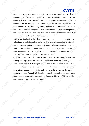## **CAT**

ensure the responsible purchasing. As most domestic companies have limited understanding of the construction of sustainable development system, CATL will continue to strengthen capacity building for suppliers, and require suppliers to complete capacity building for their suppliers. For the traceability of raw materials of its products, CATL is now using MES system to trace incoming materials. At the same time, it is actively cooperating with upstream and downstream enterprises in the supply chain to build a traceability system to ensure that the raw materials of its products can be traced back to the source.

CATL is working hard to slow down global warming. In our supply chain, we are collecting and analyzing carbon emissions data, promoting suppliers to establish a sound energy management system and carbon emission management system, and working together with our suppliers to promote the use of renewable energy and improve the process so as to reduce carbon emissions on the supply chain. All of these will help create a green ecological environment.

CATL has been represented at the 13th responsible Mineral Supply chain Forum, held by the Organization for Economic Cooperation and Development (OECD) in Paris, France, from 26th 23 to April 2019, to have further in-depth communication and consultation with the upstream and downstream companies of the international cobalt supply chain and various stakeholders on the risks and recommendations. Through RCI Coordination, the Chinese delegation held bilateral conversations with representatives of the Congolese Ministry of Mines, and held consultations on governance and control.

**Contemporary Amperex Technology Co., Limited www.catl.com**